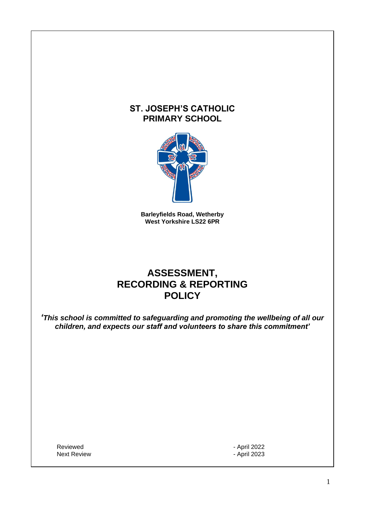# **ST. JOSEPH'S CATHOLIC PRIMARY SCHOOL**



**Barleyfields Road, Wetherby West Yorkshire LS22 6PR**

# **ASSESSMENT, RECORDING & REPORTING POLICY**

*'This school is committed to safeguarding and promoting the wellbeing of all our children, and expects our staff and volunteers to share this commitment'*

Reviewed **- April 2022** Next Review **April 2023**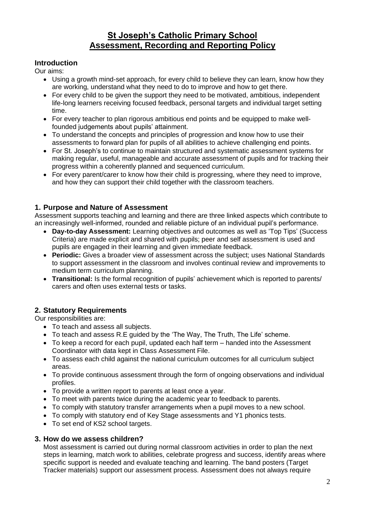# **St Joseph's Catholic Primary School Assessment, Recording and Reporting Policy**

## **Introduction**

Our aims:

- Using a growth mind-set approach, for every child to believe they can learn, know how they are working, understand what they need to do to improve and how to get there.
- For every child to be given the support they need to be motivated, ambitious, independent life-long learners receiving focused feedback, personal targets and individual target setting time.
- For every teacher to plan rigorous ambitious end points and be equipped to make wellfounded judgements about pupils' attainment.
- To understand the concepts and principles of progression and know how to use their assessments to forward plan for pupils of all abilities to achieve challenging end points.
- For St. Joseph's to continue to maintain structured and systematic assessment systems for making regular, useful, manageable and accurate assessment of pupils and for tracking their progress within a coherently planned and sequenced curriculum.
- For every parent/carer to know how their child is progressing, where they need to improve, and how they can support their child together with the classroom teachers.

## **1. Purpose and Nature of Assessment**

Assessment supports teaching and learning and there are three linked aspects which contribute to an increasingly well-informed, rounded and reliable picture of an individual pupil's performance.

- **Day-to-day Assessment:** Learning objectives and outcomes as well as 'Top Tips' (Success Criteria) are made explicit and shared with pupils; peer and self assessment is used and pupils are engaged in their learning and given immediate feedback.
- **Periodic:** Gives a broader view of assessment across the subject; uses National Standards to support assessment in the classroom and involves continual review and improvements to medium term curriculum planning.
- **Transitional:** Is the formal recognition of pupils' achievement which is reported to parents/ carers and often uses external tests or tasks.

# **2. Statutory Requirements**

Our responsibilities are:

- To teach and assess all subjects.
- To teach and assess R.E guided by the 'The Way, The Truth, The Life' scheme.
- To keep a record for each pupil, updated each half term handed into the Assessment Coordinator with data kept in Class Assessment File.
- To assess each child against the national curriculum outcomes for all curriculum subject areas.
- To provide continuous assessment through the form of ongoing observations and individual profiles.
- To provide a written report to parents at least once a year.
- To meet with parents twice during the academic year to feedback to parents.
- To comply with statutory transfer arrangements when a pupil moves to a new school.
- To comply with statutory end of Key Stage assessments and Y1 phonics tests.
- To set end of KS2 school targets.

#### **3. How do we assess children?**

Most assessment is carried out during normal classroom activities in order to plan the next steps in learning, match work to abilities, celebrate progress and success, identify areas where specific support is needed and evaluate teaching and learning. The band posters (Target Tracker materials) support our assessment process. Assessment does not always require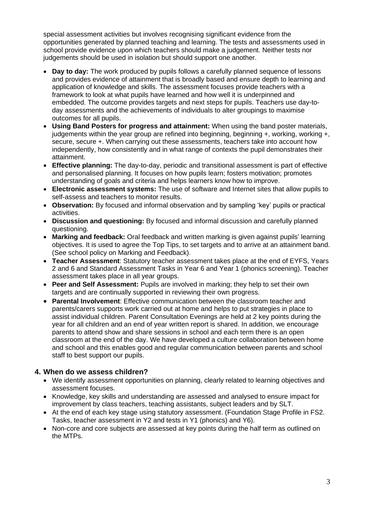special assessment activities but involves recognising significant evidence from the opportunities generated by planned teaching and learning. The tests and assessments used in school provide evidence upon which teachers should make a judgement. Neither tests nor judgements should be used in isolation but should support one another.

- **Day to day:** The work produced by pupils follows a carefully planned sequence of lessons and provides evidence of attainment that is broadly based and ensure depth to learning and application of knowledge and skills. The assessment focuses provide teachers with a framework to look at what pupils have learned and how well it is underpinned and embedded. The outcome provides targets and next steps for pupils. Teachers use day-today assessments and the achievements of individuals to alter groupings to maximise outcomes for all pupils.
- **Using Band Posters for progress and attainment:** When using the band poster materials, judgements within the year group are refined into beginning, beginning  $+$ , working, working  $+$ , secure, secure +. When carrying out these assessments, teachers take into account how independently, how consistently and in what range of contexts the pupil demonstrates their attainment.
- **Effective planning:** The day-to-day, periodic and transitional assessment is part of effective and personalised planning. It focuses on how pupils learn; fosters motivation; promotes understanding of goals and criteria and helps learners know how to improve.
- **Electronic assessment systems:** The use of software and Internet sites that allow pupils to self-assess and teachers to monitor results.
- **Observation:** By focused and informal observation and by sampling 'key' pupils or practical activities.
- **Discussion and questioning:** By focused and informal discussion and carefully planned questioning.
- **Marking and feedback:** Oral feedback and written marking is given against pupils' learning objectives. It is used to agree the Top Tips, to set targets and to arrive at an attainment band. (See school policy on Marking and Feedback).
- **Teacher Assessment**: Statutory teacher assessment takes place at the end of EYFS, Years 2 and 6 and Standard Assessment Tasks in Year 6 and Year 1 (phonics screening). Teacher assessment takes place in all year groups.
- **Peer and Self Assessment:** Pupils are involved in marking; they help to set their own targets and are continually supported in reviewing their own progress.
- **Parental Involvement**: Effective communication between the classroom teacher and parents/carers supports work carried out at home and helps to put strategies in place to assist individual children. Parent Consultation Evenings are held at 2 key points during the year for all children and an end of year written report is shared. In addition, we encourage parents to attend show and share sessions in school and each term there is an open classroom at the end of the day. We have developed a culture collaboration between home and school and this enables good and regular communication between parents and school staff to best support our pupils.

# **4. When do we assess children?**

- We identify assessment opportunities on planning, clearly related to learning objectives and assessment focuses.
- Knowledge, key skills and understanding are assessed and analysed to ensure impact for improvement by class teachers, teaching assistants, subject leaders and by SLT.
- At the end of each key stage using statutory assessment. (Foundation Stage Profile in FS2. Tasks, teacher assessment in Y2 and tests in Y1 (phonics) and Y6).
- Non-core and core subjects are assessed at key points during the half term as outlined on the MTPs.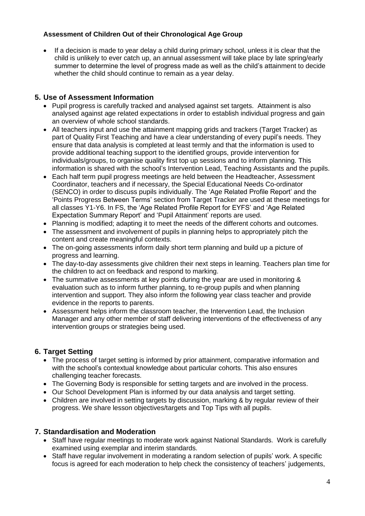# **Assessment of Children Out of their Chronological Age Group**

• If a decision is made to year delay a child during primary school, unless it is clear that the child is unlikely to ever catch up, an annual assessment will take place by late spring/early summer to determine the level of progress made as well as the child's attainment to decide whether the child should continue to remain as a year delay.

#### **5. Use of Assessment Information**

- Pupil progress is carefully tracked and analysed against set targets. Attainment is also analysed against age related expectations in order to establish individual progress and gain an overview of whole school standards.
- All teachers input and use the attainment mapping grids and trackers (Target Tracker) as part of Quality First Teaching and have a clear understanding of every pupil's needs. They ensure that data analysis is completed at least termly and that the information is used to provide additional teaching support to the identified groups, provide intervention for individuals/groups, to organise quality first top up sessions and to inform planning. This information is shared with the school's Intervention Lead, Teaching Assistants and the pupils.
- Each half term pupil progress meetings are held between the Headteacher, Assessment Coordinator, teachers and if necessary, the Special Educational Needs Co-ordinator (SENCO) in order to discuss pupils individually. The 'Age Related Profile Report' and the 'Points Progress Between Terms' section from Target Tracker are used at these meetings for all classes Y1-Y6. In FS, the 'Age Related Profile Report for EYFS' and 'Age Related Expectation Summary Report' and 'Pupil Attainment' reports are used.
- Planning is modified; adapting it to meet the needs of the different cohorts and outcomes.
- The assessment and involvement of pupils in planning helps to appropriately pitch the content and create meaningful contexts.
- The on-going assessments inform daily short term planning and build up a picture of progress and learning.
- The day-to-day assessments give children their next steps in learning. Teachers plan time for the children to act on feedback and respond to marking.
- The summative assessments at key points during the year are used in monitoring & evaluation such as to inform further planning, to re-group pupils and when planning intervention and support. They also inform the following year class teacher and provide evidence in the reports to parents.
- Assessment helps inform the classroom teacher, the Intervention Lead, the Inclusion Manager and any other member of staff delivering interventions of the effectiveness of any intervention groups or strategies being used.

# **6. Target Setting**

- The process of target setting is informed by prior attainment, comparative information and with the school's contextual knowledge about particular cohorts. This also ensures challenging teacher forecasts.
- The Governing Body is responsible for setting targets and are involved in the process.
- Our School Development Plan is informed by our data analysis and target setting.
- Children are involved in setting targets by discussion, marking & by regular review of their progress. We share lesson objectives/targets and Top Tips with all pupils.

#### **7. Standardisation and Moderation**

- Staff have regular meetings to moderate work against National Standards. Work is carefully examined using exemplar and interim standards.
- Staff have regular involvement in moderating a random selection of pupils' work. A specific focus is agreed for each moderation to help check the consistency of teachers' judgements,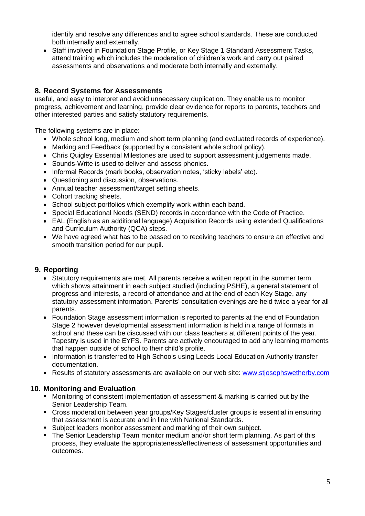identify and resolve any differences and to agree school standards. These are conducted both internally and externally.

• Staff involved in Foundation Stage Profile, or Key Stage 1 Standard Assessment Tasks, attend training which includes the moderation of children's work and carry out paired assessments and observations and moderate both internally and externally.

# **8. Record Systems for Assessments**

useful, and easy to interpret and avoid unnecessary duplication. They enable us to monitor progress, achievement and learning, provide clear evidence for reports to parents, teachers and other interested parties and satisfy statutory requirements.

The following systems are in place:

- Whole school long, medium and short term planning (and evaluated records of experience).
- Marking and Feedback (supported by a consistent whole school policy).
- Chris Quigley Essential Milestones are used to support assessment judgements made.
- Sounds-Write is used to deliver and assess phonics.
- Informal Records (mark books, observation notes, 'sticky labels' etc).
- Questioning and discussion, observations.
- Annual teacher assessment/target setting sheets.
- Cohort tracking sheets.
- School subject portfolios which exemplify work within each band.
- Special Educational Needs (SEND) records in accordance with the Code of Practice.
- EAL (English as an additional language) Acquisition Records using extended Qualifications and Curriculum Authority (QCA) steps.
- We have agreed what has to be passed on to receiving teachers to ensure an effective and smooth transition period for our pupil.

#### **9. Reporting**

- Statutory requirements are met. All parents receive a written report in the summer term which shows attainment in each subject studied (including PSHE), a general statement of progress and interests, a record of attendance and at the end of each Key Stage, any statutory assessment information. Parents' consultation evenings are held twice a year for all parents.
- Foundation Stage assessment information is reported to parents at the end of Foundation Stage 2 however developmental assessment information is held in a range of formats in school and these can be discussed with our class teachers at different points of the year. Tapestry is used in the EYFS. Parents are actively encouraged to add any learning moments that happen outside of school to their child's profile.
- Information is transferred to High Schools using Leeds Local Education Authority transfer documentation.
- Results of statutory assessments are available on our web site: www.stiosephswetherby.com

#### **10. Monitoring and Evaluation**

- Monitoring of consistent implementation of assessment & marking is carried out by the Senior Leadership Team.
- Cross moderation between year groups/Key Stages/cluster groups is essential in ensuring that assessment is accurate and in line with National Standards.
- Subject leaders monitor assessment and marking of their own subject.
- The Senior Leadership Team monitor medium and/or short term planning. As part of this process, they evaluate the appropriateness/effectiveness of assessment opportunities and outcomes.